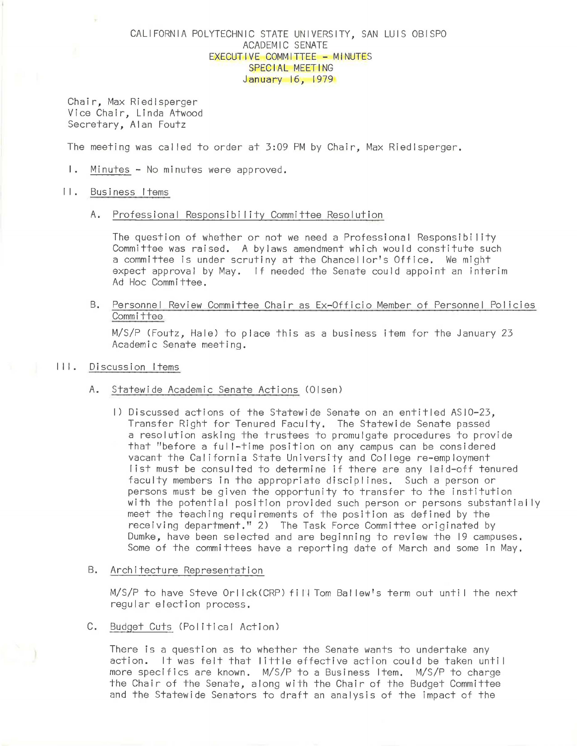# CALIFORNIA POLYTECHNIC STATE UNIVERSITY, SAN LUIS OBISPO ACADEMIC SENATE EXECUTIVE COMMITTEE - MINUTES SPECIAL MEETING January 16, 1979

Chair, Max Riedlsperger Vice Chair, Linda Atwood Secretary, Alan Foutz

The meeting was called to order at 3:09 PM by Chair, Max Riedlsperger.

I. Minutes - No minutes were approved.

## II. Business Items

## A. Professional Responsibility Committee Resolution

The question of whether or not we need a Professtonal Responsibi I ity Committee was raised. A bylaws amendment which would constitute such a committee is under scrutiny at the Chancel lor's Office. We might expect approval by May. If needed the Senate could appoint an interim Ad Hoc Committee.

B. Personnel Review Committee Chair as Ex-Officio Member of Personnel Policies Committee

M/S/P (Foutz, Hale) to place this as a business item for the January 23 Academic Senate meeting.

# III. Discussion Items

- A. Statewide Academic Senate Actions (Olsen)
	- I) Discussed actions of the Statewide Senate on an entitled ASI0-23. Transfer Right for Tenured Faculty. The Statewide Senate passed a resolution asking the trustees to promulgate procedures to provide that "before a ful 1-time position on any campus can be considered vacant the California State University and Col lege re-employment list must be consulted to determine if there are any laid-off tenured faculty members in the appropriate disciplines. Such a person or persons must be given the opportunity to transfer to the institution with the potential position provided such person or persons substantially meet the teaching requirements of the position as defined by the receiving department." 2) The Task Force Committee originated by Dumke, have been selected and are beginning to review the 19 campuses. Some of the committees have a reporting date of March and some in May.

## B. Architecture Representation

M/S/P to have Steve Orlick(CRP) fill Tom Ballew's term out until the next regular election process.

C. Budget Cuts (Political Action)

There is a question as to whether the Senate wants to undertake any action. It was felt that little effective action could be taken unti I more specifics are known. M/S/P to a Business Item. M/S/P to charge the Chair of the Senate, along with the Chair of the Budget Committee and the Statewide Senators to draft an analysis of the impact of the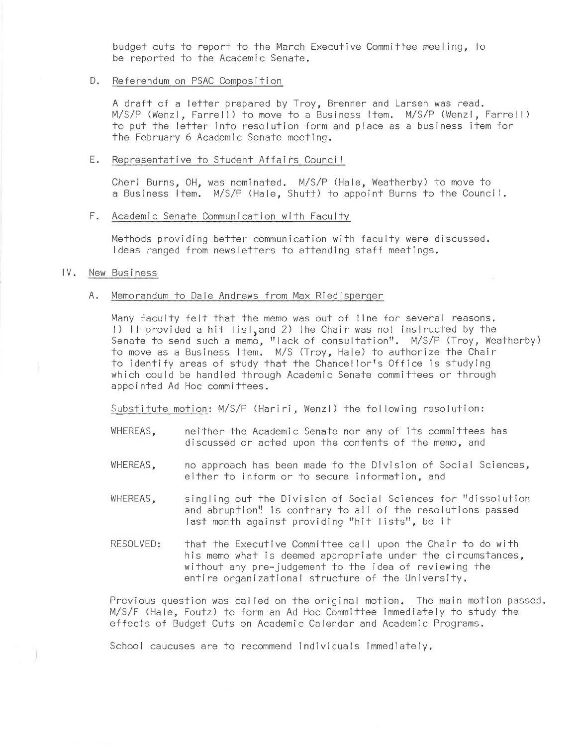budget cuts to report to the March Executive Committee meeting, to be reported to the Academic Senate.

# D. Referendum on PSAC Composition

A draft of a letter prepared by Troy, Brenner and Larsen was read. M/S/P (Wenzl, Farrel I) to *move* to a Business Item. M/S/P (Wenzl, Farrel I) to put the letter into resolution form and place as a business item for the February 6 Academic Senate meeting.

#### E. Representative to Student Affairs Counci I

Cheri Burns, OH, was nominated. M/S/P (Hale, Weatherby) to *move* to a Business Item. M/S/P (Hale, Shutt) to appoint Burns to the Council.

## F. Academic Senate Communication with Faculty

Methods providing better communication with faculty were discussed. Ideas ranged from newsletters to attending staff meetings.

# IV. New Business

# A. Memorandum to Dale Andrews from Max Riedlsperger

Many faculty felt that the memo was out of line for several reasons. I) It provided a hit list, and 2) the Chair was not instructed by the Senate to send such a memo, "lack of consultation". M/S/P (Troy, Weatherby) to *move* as a Business Item. M/S (Troy, Hale) to authorize the Chair to identify areas of study that the Chancel lor's Office is studying which could be handled through Academic Senate committees or through appointed Ad Hoc committees.

Substitute motion: M/S/P (Hariri, Wenzl) the following resolution:

- WHEREAS, meither the Academic Senate nor any of its committees has discussed or acted upon the contents of the memo, and
- WHEREAS, mo approach has been made to the Division of Social Sciences, either to inform or to secure information, and
- WHEREAS, singling out the Division of Social Sciences for "dissolution and abruption'! is contrary to all of the resolutions passed last month against providing ''hit Iists", be it
- RESOLVED: that the Executive Committee call upon the Chair to do with his memo what is deemed appropriate under the circumstances, without any pre-judgement to the idea of reviewing the entire organizational structure of the University.

Previous question was cal led on the original motion. The main motion passed. M/S/F (Hale, Foutz) to form an Ad Hoc Committee immediately to study the effects of Budget Cuts on Academic Calendar and Academic Programs.

School caucuses are to recommend individuals immediately.